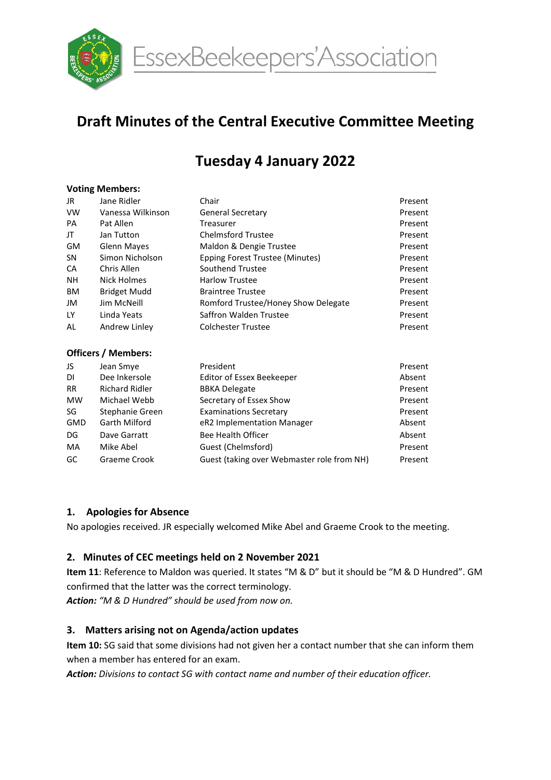

EssexBeekeepers'Association

# Draft Minutes of the Central Executive Committee Meeting

# Tuesday 4 January 2022

#### Voting Members:

| JR.       | Jane Ridler                | Chair                               | Present |
|-----------|----------------------------|-------------------------------------|---------|
| <b>VW</b> | Vanessa Wilkinson          | <b>General Secretary</b>            | Present |
| <b>PA</b> | Pat Allen                  | Treasurer                           | Present |
| JT        | Jan Tutton                 | <b>Chelmsford Trustee</b>           | Present |
| <b>GM</b> | Glenn Mayes                | Maldon & Dengie Trustee             | Present |
| SΝ        | Simon Nicholson            | Epping Forest Trustee (Minutes)     | Present |
| CA        | Chris Allen                | Southend Trustee                    | Present |
| <b>NH</b> | Nick Holmes                | <b>Harlow Trustee</b>               | Present |
| <b>BM</b> | Bridget Mudd               | <b>Braintree Trustee</b>            |         |
| JM        | Jim McNeill                | Romford Trustee/Honey Show Delegate | Present |
| <b>LY</b> | Linda Yeats                | Saffron Walden Trustee              | Present |
| AL        | Andrew Linley              | <b>Colchester Trustee</b>           | Present |
|           | <b>Officers / Members:</b> |                                     |         |
| JS        | Jean Smye                  | President                           | Present |
| DI        | Dee Inkersole              | Editor of Essex Beekeeper           | Absent  |
| <b>RR</b> | Richard Ridler             | <b>BBKA Delegate</b>                | Present |

| DI         | Dee Inkersole         | Editor of Essex Beekeeper                  | Absent  |
|------------|-----------------------|--------------------------------------------|---------|
| <b>RR</b>  | <b>Richard Ridler</b> | <b>BBKA Delegate</b>                       | Present |
| <b>MW</b>  | Michael Webb          | Secretary of Essex Show                    | Present |
| SG         | Stephanie Green       | <b>Examinations Secretary</b>              | Present |
| <b>GMD</b> | Garth Milford         | eR2 Implementation Manager                 | Absent  |
| DG         | Dave Garratt          | Bee Health Officer                         | Absent  |
| MA         | Mike Abel             | Guest (Chelmsford)                         | Present |
| GC         | Graeme Crook          | Guest (taking over Webmaster role from NH) | Present |

#### 1. Apologies for Absence

No apologies received. JR especially welcomed Mike Abel and Graeme Crook to the meeting.

#### 2. Minutes of CEC meetings held on 2 November 2021

Item 11: Reference to Maldon was queried. It states "M & D" but it should be "M & D Hundred". GM confirmed that the latter was the correct terminology.

Action: "M & D Hundred" should be used from now on.

#### 3. Matters arising not on Agenda/action updates

Item 10: SG said that some divisions had not given her a contact number that she can inform them when a member has entered for an exam.

Action: Divisions to contact SG with contact name and number of their education officer.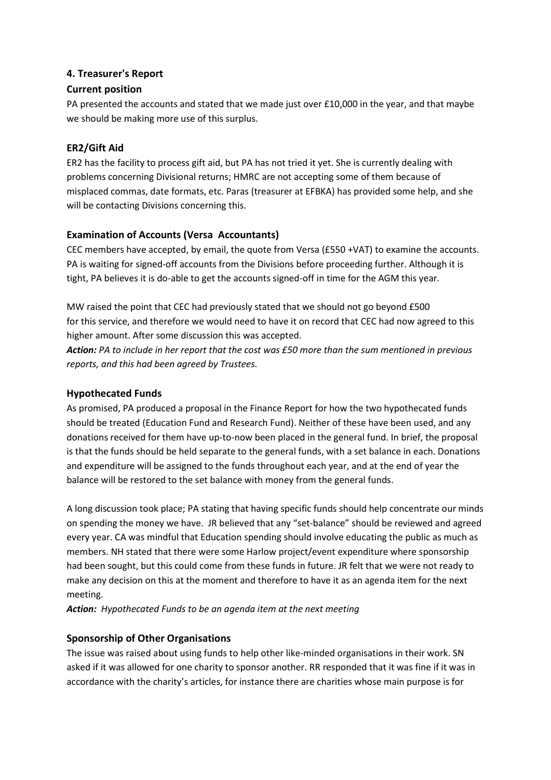### 4. Treasurer's Report

#### Current position

PA presented the accounts and stated that we made just over £10,000 in the year, and that maybe we should be making more use of this surplus.

## ER2/Gift Aid

ER2 has the facility to process gift aid, but PA has not tried it yet. She is currently dealing with problems concerning Divisional returns; HMRC are not accepting some of them because of misplaced commas, date formats, etc. Paras (treasurer at EFBKA) has provided some help, and she will be contacting Divisions concerning this.

# Examination of Accounts (Versa Accountants)

CEC members have accepted, by email, the quote from Versa (£550 +VAT) to examine the accounts. PA is waiting for signed-off accounts from the Divisions before proceeding further. Although it is tight, PA believes it is do-able to get the accounts signed-off in time for the AGM this year.

MW raised the point that CEC had previously stated that we should not go beyond £500 for this service, and therefore we would need to have it on record that CEC had now agreed to this higher amount. After some discussion this was accepted.

Action: PA to include in her report that the cost was £50 more than the sum mentioned in previous reports, and this had been agreed by Trustees.

## Hypothecated Funds

As promised, PA produced a proposal in the Finance Report for how the two hypothecated funds should be treated (Education Fund and Research Fund). Neither of these have been used, and any donations received for them have up-to-now been placed in the general fund. In brief, the proposal is that the funds should be held separate to the general funds, with a set balance in each. Donations and expenditure will be assigned to the funds throughout each year, and at the end of year the balance will be restored to the set balance with money from the general funds.

A long discussion took place; PA stating that having specific funds should help concentrate our minds on spending the money we have. JR believed that any "set-balance" should be reviewed and agreed every year. CA was mindful that Education spending should involve educating the public as much as members. NH stated that there were some Harlow project/event expenditure where sponsorship had been sought, but this could come from these funds in future. JR felt that we were not ready to make any decision on this at the moment and therefore to have it as an agenda item for the next meeting.

Action: Hypothecated Funds to be an agenda item at the next meeting

# Sponsorship of Other Organisations

The issue was raised about using funds to help other like-minded organisations in their work. SN asked if it was allowed for one charity to sponsor another. RR responded that it was fine if it was in accordance with the charity's articles, for instance there are charities whose main purpose is for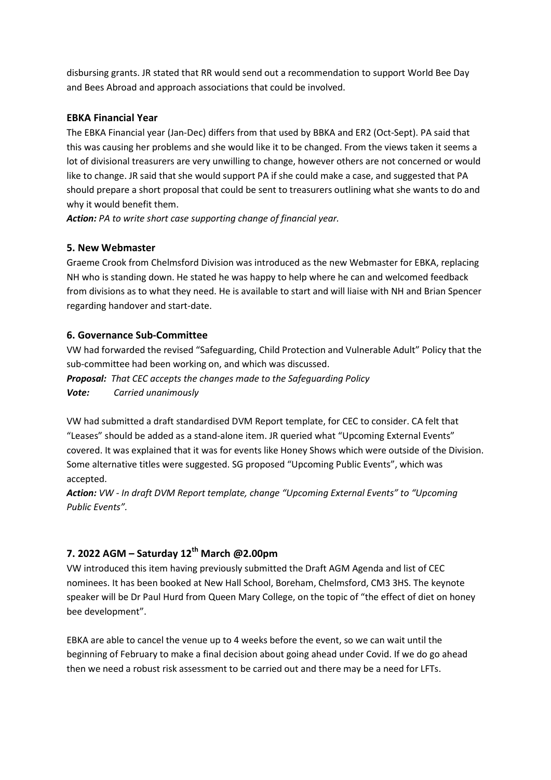disbursing grants. JR stated that RR would send out a recommendation to support World Bee Day and Bees Abroad and approach associations that could be involved.

#### EBKA Financial Year

The EBKA Financial year (Jan-Dec) differs from that used by BBKA and ER2 (Oct-Sept). PA said that this was causing her problems and she would like it to be changed. From the views taken it seems a lot of divisional treasurers are very unwilling to change, however others are not concerned or would like to change. JR said that she would support PA if she could make a case, and suggested that PA should prepare a short proposal that could be sent to treasurers outlining what she wants to do and why it would benefit them.

Action: PA to write short case supporting change of financial year.

### 5. New Webmaster

Graeme Crook from Chelmsford Division was introduced as the new Webmaster for EBKA, replacing NH who is standing down. He stated he was happy to help where he can and welcomed feedback from divisions as to what they need. He is available to start and will liaise with NH and Brian Spencer regarding handover and start-date.

# 6. Governance Sub-Committee

VW had forwarded the revised "Safeguarding, Child Protection and Vulnerable Adult" Policy that the sub-committee had been working on, and which was discussed.

Proposal: That CEC accepts the changes made to the Safeguarding Policy Vote: Carried unanimously

VW had submitted a draft standardised DVM Report template, for CEC to consider. CA felt that "Leases" should be added as a stand-alone item. JR queried what "Upcoming External Events" covered. It was explained that it was for events like Honey Shows which were outside of the Division. Some alternative titles were suggested. SG proposed "Upcoming Public Events", which was accepted.

Action: VW - In draft DVM Report template, change "Upcoming External Events" to "Upcoming Public Events".

# 7. 2022 AGM – Saturday  $12^{th}$  March @2.00pm

VW introduced this item having previously submitted the Draft AGM Agenda and list of CEC nominees. It has been booked at New Hall School, Boreham, Chelmsford, CM3 3HS. The keynote speaker will be Dr Paul Hurd from Queen Mary College, on the topic of "the effect of diet on honey bee development".

EBKA are able to cancel the venue up to 4 weeks before the event, so we can wait until the beginning of February to make a final decision about going ahead under Covid. If we do go ahead then we need a robust risk assessment to be carried out and there may be a need for LFTs.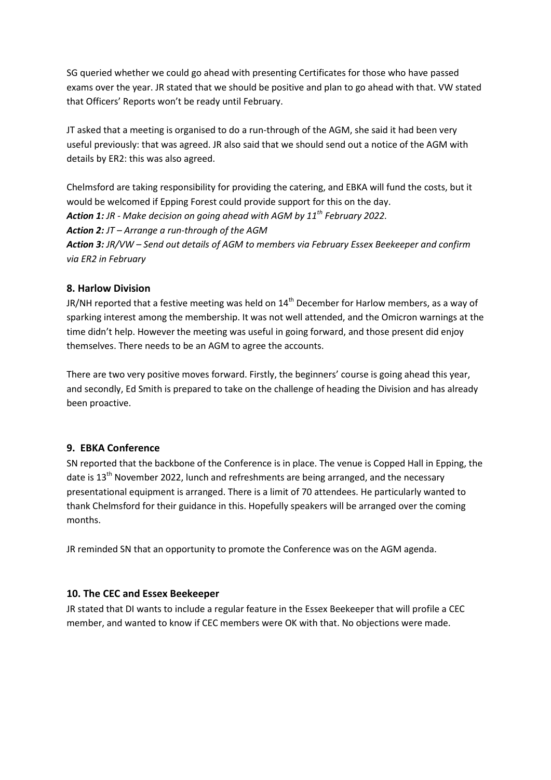SG queried whether we could go ahead with presenting Certificates for those who have passed exams over the year. JR stated that we should be positive and plan to go ahead with that. VW stated that Officers' Reports won't be ready until February.

JT asked that a meeting is organised to do a run-through of the AGM, she said it had been very useful previously: that was agreed. JR also said that we should send out a notice of the AGM with details by ER2: this was also agreed.

Chelmsford are taking responsibility for providing the catering, and EBKA will fund the costs, but it would be welcomed if Epping Forest could provide support for this on the day. Action 1: JR - Make decision on going ahead with AGM by  $11^{th}$  February 2022. Action 2: JT – Arrange a run-through of the AGM Action 3: JR/VW – Send out details of AGM to members via February Essex Beekeeper and confirm via ER2 in February

#### 8. Harlow Division

JR/NH reported that a festive meeting was held on  $14<sup>th</sup>$  December for Harlow members, as a way of sparking interest among the membership. It was not well attended, and the Omicron warnings at the time didn't help. However the meeting was useful in going forward, and those present did enjoy themselves. There needs to be an AGM to agree the accounts.

There are two very positive moves forward. Firstly, the beginners' course is going ahead this year, and secondly, Ed Smith is prepared to take on the challenge of heading the Division and has already been proactive.

#### 9. EBKA Conference

SN reported that the backbone of the Conference is in place. The venue is Copped Hall in Epping, the date is 13<sup>th</sup> November 2022, lunch and refreshments are being arranged, and the necessary presentational equipment is arranged. There is a limit of 70 attendees. He particularly wanted to thank Chelmsford for their guidance in this. Hopefully speakers will be arranged over the coming months.

JR reminded SN that an opportunity to promote the Conference was on the AGM agenda.

#### 10. The CEC and Essex Beekeeper

JR stated that DI wants to include a regular feature in the Essex Beekeeper that will profile a CEC member, and wanted to know if CEC members were OK with that. No objections were made.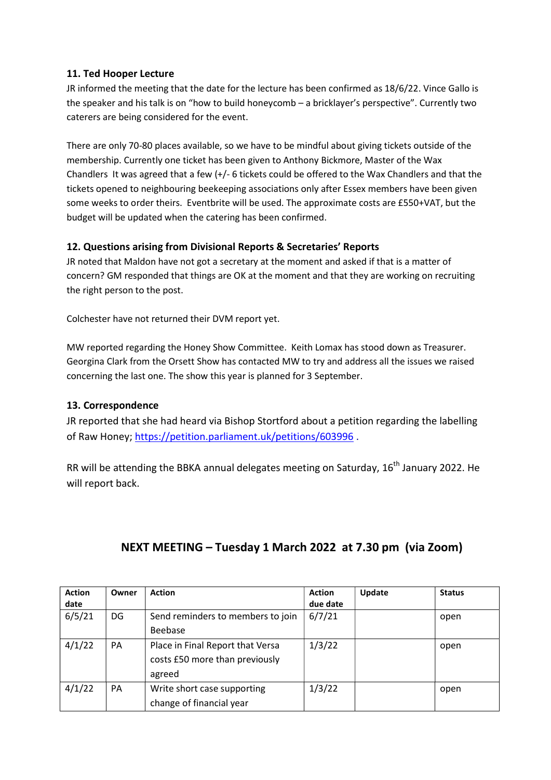## 11. Ted Hooper Lecture

JR informed the meeting that the date for the lecture has been confirmed as 18/6/22. Vince Gallo is the speaker and his talk is on "how to build honeycomb – a bricklayer's perspective". Currently two caterers are being considered for the event.

There are only 70-80 places available, so we have to be mindful about giving tickets outside of the membership. Currently one ticket has been given to Anthony Bickmore, Master of the Wax Chandlers It was agreed that a few (+/- 6 tickets could be offered to the Wax Chandlers and that the tickets opened to neighbouring beekeeping associations only after Essex members have been given some weeks to order theirs. Eventbrite will be used. The approximate costs are £550+VAT, but the budget will be updated when the catering has been confirmed.

# 12. Questions arising from Divisional Reports & Secretaries' Reports

JR noted that Maldon have not got a secretary at the moment and asked if that is a matter of concern? GM responded that things are OK at the moment and that they are working on recruiting the right person to the post.

Colchester have not returned their DVM report yet.

MW reported regarding the Honey Show Committee. Keith Lomax has stood down as Treasurer. Georgina Clark from the Orsett Show has contacted MW to try and address all the issues we raised concerning the last one. The show this year is planned for 3 September.

# 13. Correspondence

JR reported that she had heard via Bishop Stortford about a petition regarding the labelling of Raw Honey; https://petition.parliament.uk/petitions/603996 .

RR will be attending the BBKA annual delegates meeting on Saturday,  $16<sup>th</sup>$  January 2022. He will report back.

| <b>Action</b><br>date | Owner | <b>Action</b>                                                                | <b>Action</b><br>due date | <b>Update</b> | <b>Status</b> |
|-----------------------|-------|------------------------------------------------------------------------------|---------------------------|---------------|---------------|
| 6/5/21                | DG    | Send reminders to members to join<br>Beebase                                 | 6/7/21                    |               | open          |
| 4/1/22                | PA    | Place in Final Report that Versa<br>costs £50 more than previously<br>agreed | 1/3/22                    |               | open          |
| 4/1/22                | PA    | Write short case supporting<br>change of financial year                      | 1/3/22                    |               | open          |

# NEXT MEETING – Tuesday 1 March 2022 at 7.30 pm (via Zoom)